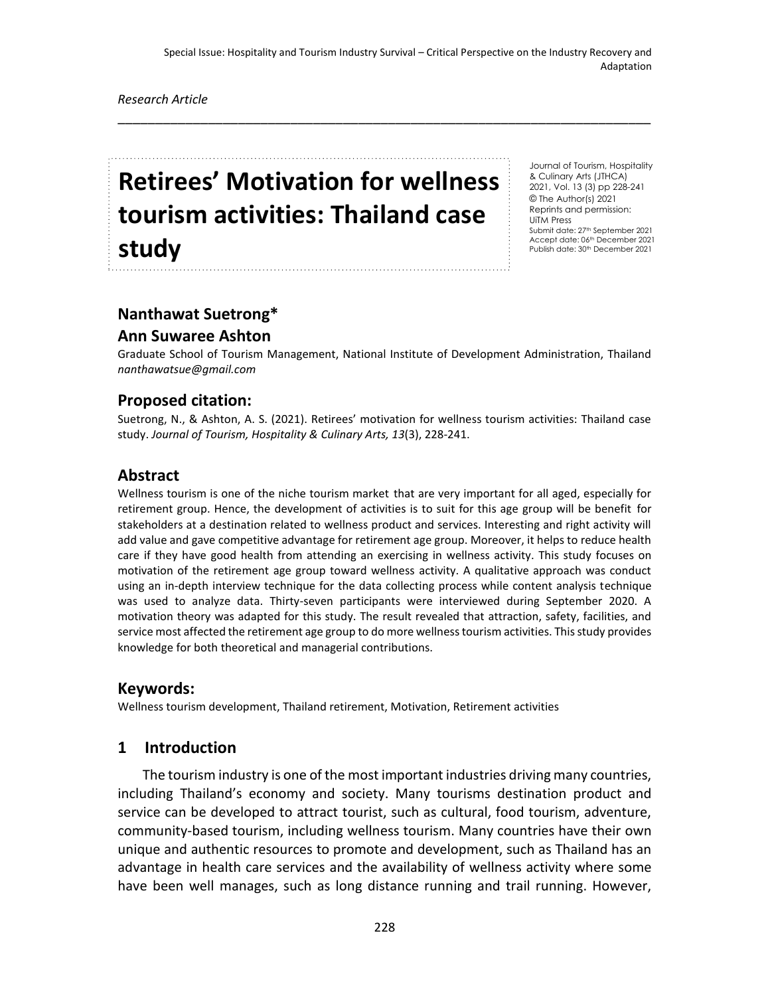\_\_\_\_\_\_\_\_\_\_\_\_\_\_\_\_\_\_\_\_\_\_\_\_\_\_\_\_\_\_\_\_\_\_\_\_\_\_\_\_\_\_\_\_\_\_\_\_\_\_\_\_\_\_\_\_\_\_\_\_\_\_\_\_\_\_\_\_\_\_\_

*Research Article*

# **Retirees' Motivation for wellness tourism activities: Thailand case study**

Journal of Tourism, Hospitality & Culinary Arts (JTHCA) 2021, Vol. 13 (3) pp 228-241 © The Author(s) 2021 Reprints and permission: UiTM Press Submit date: 27<sup>th</sup> September 2021 Accept date: 06th December 2021 Publish date: 30<sup>th</sup> December 2021

# **Nanthawat Suetrong\***

# **Ann Suwaree Ashton**

Graduate School of Tourism Management, National Institute of Development Administration, Thailand *nanthawatsue@gmail.com*

# **Proposed citation:**

Suetrong, N., & Ashton, A. S. (2021). Retirees' motivation for wellness tourism activities: Thailand case study. *Journal of Tourism, Hospitality & Culinary Arts, 13*(3), 228-241.

# **Abstract**

Wellness tourism is one of the niche tourism market that are very important for all aged, especially for retirement group. Hence, the development of activities is to suit for this age group will be benefit for stakeholders at a destination related to wellness product and services. Interesting and right activity will add value and gave competitive advantage for retirement age group. Moreover, it helps to reduce health care if they have good health from attending an exercising in wellness activity. This study focuses on motivation of the retirement age group toward wellness activity. A qualitative approach was conduct using an in-depth interview technique for the data collecting process while content analysis technique was used to analyze data. Thirty-seven participants were interviewed during September 2020. A motivation theory was adapted for this study. The result revealed that attraction, safety, facilities, and service most affected the retirement age group to do more wellness tourism activities. This study provides knowledge for both theoretical and managerial contributions.

# **Keywords:**

Wellness tourism development, Thailand retirement, Motivation, Retirement activities

# **1 Introduction**

The tourism industry is one of the most important industries driving many countries, including Thailand's economy and society. Many tourisms destination product and service can be developed to attract tourist, such as cultural, food tourism, adventure, community-based tourism, including wellness tourism. Many countries have their own unique and authentic resources to promote and development, such as Thailand has an advantage in health care services and the availability of wellness activity where some have been well manages, such as long distance running and trail running. However,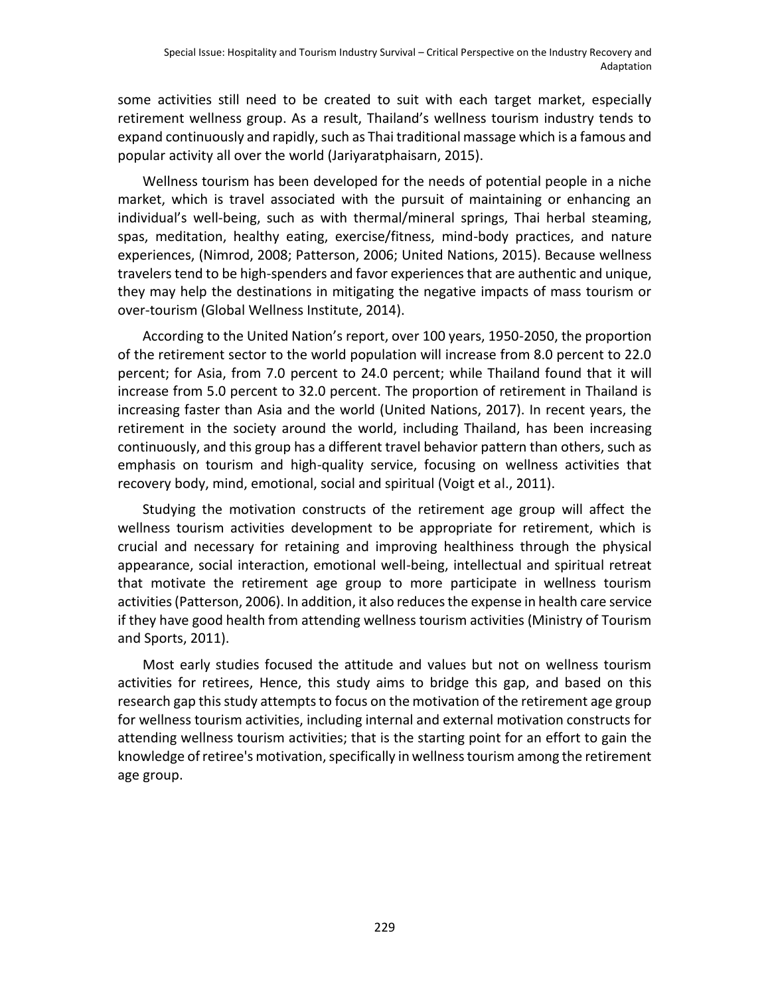some activities still need to be created to suit with each target market, especially retirement wellness group. As a result, Thailand's wellness tourism industry tends to expand continuously and rapidly, such as Thai traditional massage which is a famous and popular activity all over the world (Jariyaratphaisarn, 2015).

Wellness tourism has been developed for the needs of potential people in a niche market, which is travel associated with the pursuit of maintaining or enhancing an individual's well-being, such as with thermal/mineral springs, Thai herbal steaming, spas, meditation, healthy eating, exercise/fitness, mind-body practices, and nature experiences, (Nimrod, 2008; Patterson, 2006; United Nations, 2015). Because wellness travelers tend to be high-spenders and favor experiences that are authentic and unique, they may help the destinations in mitigating the negative impacts of mass tourism or over-tourism (Global Wellness Institute, 2014).

According to the United Nation's report, over 100 years, 1950-2050, the proportion of the retirement sector to the world population will increase from 8.0 percent to 22.0 percent; for Asia, from 7.0 percent to 24.0 percent; while Thailand found that it will increase from 5.0 percent to 32.0 percent. The proportion of retirement in Thailand is increasing faster than Asia and the world (United Nations, 2017). In recent years, the retirement in the society around the world, including Thailand, has been increasing continuously, and this group has a different travel behavior pattern than others, such as emphasis on tourism and high-quality service, focusing on wellness activities that recovery body, mind, emotional, social and spiritual (Voigt et al., 2011).

Studying the motivation constructs of the retirement age group will affect the wellness tourism activities development to be appropriate for retirement, which is crucial and necessary for retaining and improving healthiness through the physical appearance, social interaction, emotional well-being, intellectual and spiritual retreat that motivate the retirement age group to more participate in wellness tourism activities (Patterson, 2006). In addition, it also reduces the expense in health care service if they have good health from attending wellness tourism activities (Ministry of Tourism and Sports, 2011).

Most early studies focused the attitude and values but not on wellness tourism activities for retirees, Hence, this study aims to bridge this gap, and based on this research gap this study attempts to focus on the motivation of the retirement age group for wellness tourism activities, including internal and external motivation constructs for attending wellness tourism activities; that is the starting point for an effort to gain the knowledge of retiree's motivation, specifically in wellness tourism among the retirement age group.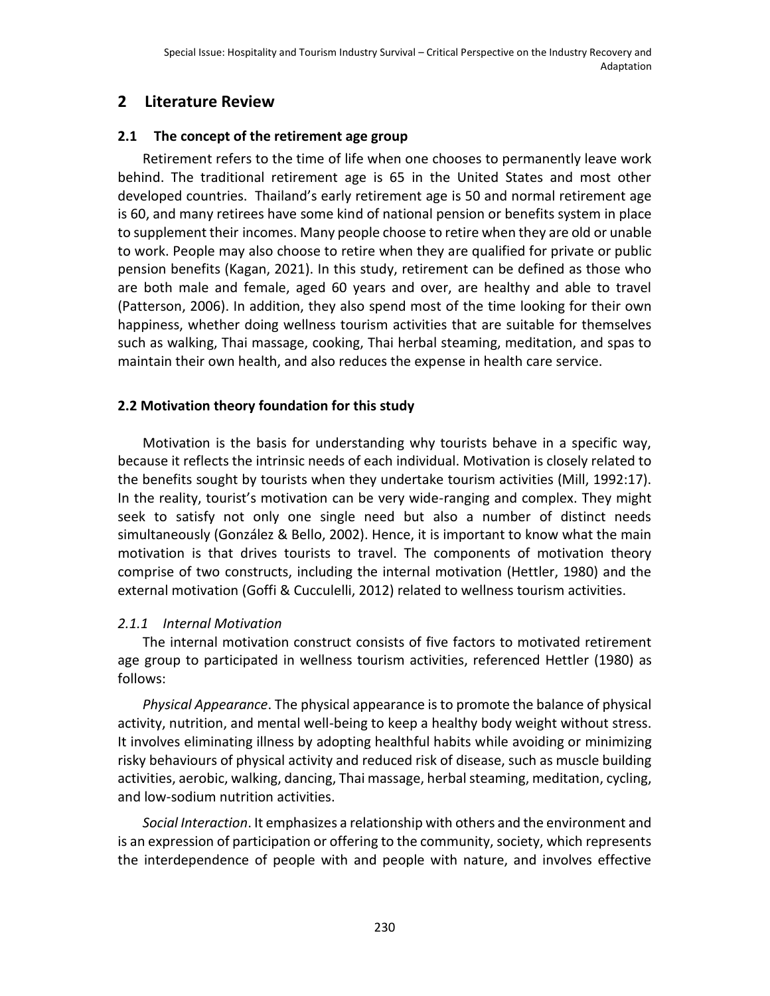# **2 Literature Review**

# **2.1 The concept of the retirement age group**

Retirement refers to the time of life when one chooses to permanently leave work behind. The traditional retirement age is 65 in the United States and most other developed countries. Thailand's early retirement age is 50 and normal retirement age is 60, and many retirees have some kind of national pension or benefits system in place to supplement their [incomes.](https://www.investopedia.com/terms/i/income.asp) Many people choose to retire when they are old or unable to work. People may also choose to retire when they are qualified for private or public pension benefits (Kagan, 2021). In this study, retirement can be defined as those who are both male and female, aged 60 years and over, are healthy and able to travel (Patterson, 2006). In addition, they also spend most of the time looking for their own happiness, whether doing wellness tourism activities that are suitable for themselves such as walking, Thai massage, cooking, Thai herbal steaming, meditation, and spas to maintain their own health, and also reduces the expense in health care service.

# **2.2 Motivation theory foundation for this study**

Motivation is the basis for understanding why tourists behave in a specific way, because it reflects the intrinsic needs of each individual. Motivation is closely related to the benefits sought by tourists when they undertake tourism activities (Mill, 1992:17). In the reality, tourist's motivation can be very wide-ranging and complex. They might seek to satisfy not only one single need but also a number of distinct needs simultaneously (González & Bello, 2002). Hence, it is important to know what the main motivation is that drives tourists to travel. The components of motivation theory comprise of two constructs, including the internal motivation (Hettler, 1980) and the external motivation (Goffi & Cucculelli, 2012) related to wellness tourism activities.

# *2.1.1 Internal Motivation*

The internal motivation construct consists of five factors to motivated retirement age group to participated in wellness tourism activities, referenced Hettler (1980) as follows:

*Physical Appearance*. The physical appearance is to promote the balance of physical activity, nutrition, and mental well-being to keep a healthy body weight without stress. It involves eliminating illness by adopting healthful habits while avoiding or minimizing risky behaviours of physical activity and reduced risk of disease, such as muscle building activities, aerobic, walking, dancing, Thai massage, herbal steaming, meditation, cycling, and low-sodium nutrition activities.

*Social Interaction*. It emphasizes a relationship with others and the environment and is an expression of participation or offering to the community, society, which represents the interdependence of people with and people with nature, and involves effective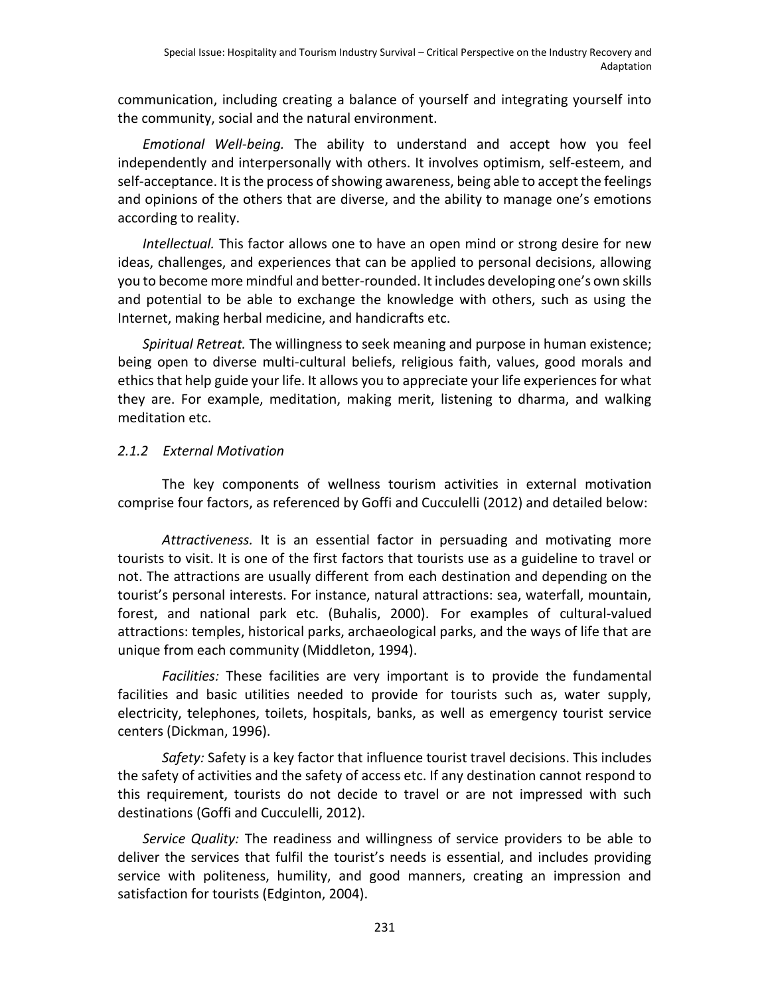communication, including creating a balance of yourself and integrating yourself into the community, social and the natural environment.

*Emotional Well-being.* The ability to understand and accept how you feel independently and interpersonally with others. It involves optimism, self-esteem, and self-acceptance. It is the process of showing awareness, being able to accept the feelings and opinions of the others that are diverse, and the ability to manage one's emotions according to reality.

*Intellectual.* This factor allows one to have an open mind or strong desire for new ideas, challenges, and experiences that can be applied to personal decisions, allowing you to become more mindful and better-rounded. It includes developing one's own skills and potential to be able to exchange the knowledge with others, such as using the Internet, making herbal medicine, and handicrafts etc.

*Spiritual Retreat.* The willingness to seek meaning and purpose in human existence; being open to diverse multi-cultural beliefs, religious faith, values, good morals and ethics that help guide your life. It allows you to appreciate your life experiences for what they are. For example, meditation, making merit, listening to dharma, and walking meditation etc.

# *2.1.2 External Motivation*

The key components of wellness tourism activities in external motivation comprise four factors, as referenced by Goffi and Cucculelli (2012) and detailed below:

*Attractiveness.* It is an essential factor in persuading and motivating more tourists to visit. It is one of the first factors that tourists use as a guideline to travel or not. The attractions are usually different from each destination and depending on the tourist's personal interests. For instance, natural attractions: sea, waterfall, mountain, forest, and national park etc. (Buhalis, 2000). For examples of cultural-valued attractions: temples, historical parks, archaeological parks, and the ways of life that are unique from each community (Middleton, 1994).

*Facilities:* These facilities are very important is to provide the fundamental facilities and basic utilities needed to provide for tourists such as, water supply, electricity, telephones, toilets, hospitals, banks, as well as emergency tourist service centers (Dickman, 1996).

*Safety:* Safety is a key factor that influence tourist travel decisions. This includes the safety of activities and the safety of access etc. If any destination cannot respond to this requirement, tourists do not decide to travel or are not impressed with such destinations (Goffi and Cucculelli, 2012).

*Service Quality:* The readiness and willingness of service providers to be able to deliver the services that fulfil the tourist's needs is essential, and includes providing service with politeness, humility, and good manners, creating an impression and satisfaction for tourists (Edginton, 2004).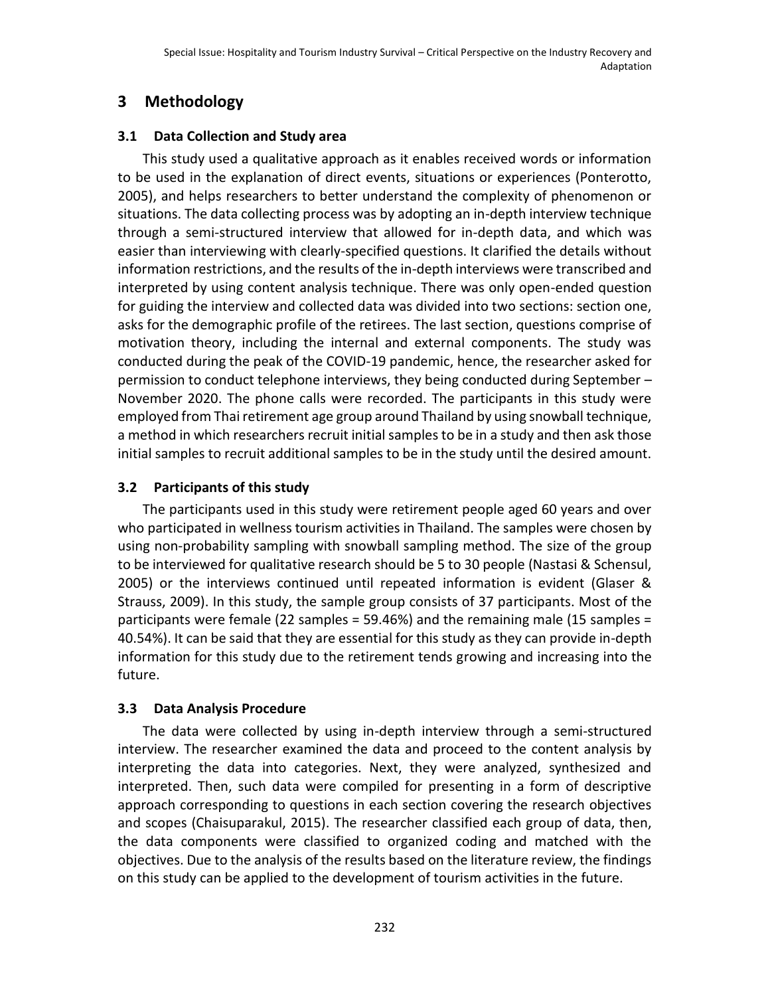# **3 Methodology**

# **3.1 Data Collection and Study area**

This study used a qualitative approach as it enables received words or information to be used in the explanation of direct events, situations or experiences (Ponterotto, 2005), and helps researchers to better understand the complexity of phenomenon or situations. The data collecting process was by adopting an in-depth interview technique through a semi-structured interview that allowed for in-depth data, and which was easier than interviewing with clearly-specified questions. It clarified the details without information restrictions, and the results of the in-depth interviews were transcribed and interpreted by using content analysis technique. There was only open-ended question for guiding the interview and collected data was divided into two sections: section one, asks for the demographic profile of the retirees. The last section, questions comprise of motivation theory, including the internal and external components. The study was conducted during the peak of the COVID-19 pandemic, hence, the researcher asked for permission to conduct telephone interviews, they being conducted during September – November 2020. The phone calls were recorded. The participants in this study were employed from Thai retirement age group around Thailand by using snowball technique, a method in which researchers recruit initial samples to be in a study and then ask those initial samples to recruit additional samples to be in the study until the desired amount.

# **3.2 Participants of this study**

The participants used in this study were retirement people aged 60 years and over who participated in wellness tourism activities in Thailand. The samples were chosen by using non-probability sampling with snowball sampling method. The size of the group to be interviewed for qualitative research should be 5 to 30 people (Nastasi & Schensul, 2005) or the interviews continued until repeated information is evident (Glaser & Strauss, 2009). In this study, the sample group consists of 37 participants. Most of the participants were female (22 samples = 59.46%) and the remaining male (15 samples = 40.54%). It can be said that they are essential for this study as they can provide in-depth information for this study due to the retirement tends growing and increasing into the future.

# **3.3 Data Analysis Procedure**

The data were collected by using in-depth interview through a semi-structured interview. The researcher examined the data and proceed to the content analysis by interpreting the data into categories. Next, they were analyzed, synthesized and interpreted. Then, such data were compiled for presenting in a form of descriptive approach corresponding to questions in each section covering the research objectives and scopes (Chaisuparakul, 2015). The researcher classified each group of data, then, the data components were classified to organized coding and matched with the objectives. Due to the analysis of the results based on the literature review, the findings on this study can be applied to the development of tourism activities in the future.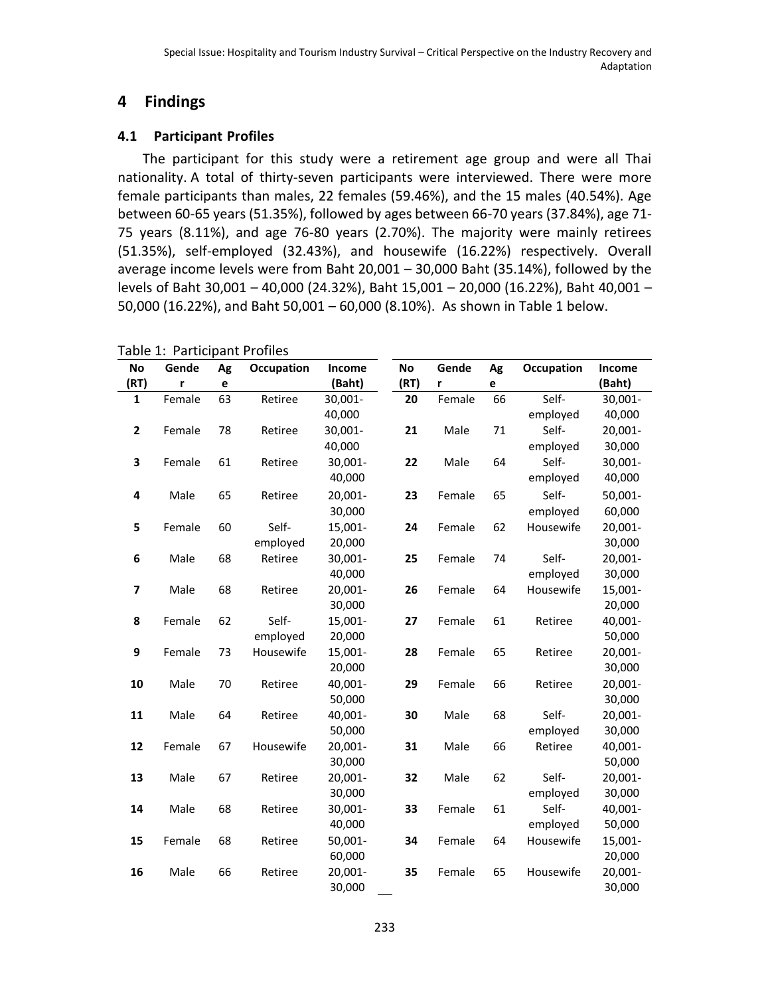# **4 Findings**

# **4.1 Participant Profiles**

The participant for this study were a retirement age group and were all Thai nationality. A total of thirty-seven participants were interviewed. There were more female participants than males, 22 females (59.46%), and the 15 males (40.54%). Age between 60-65 years (51.35%), followed by ages between 66-70 years (37.84%), age 71- 75 years (8.11%), and age 76-80 years (2.70%). The majority were mainly retirees (51.35%), self-employed (32.43%), and housewife (16.22%) respectively. Overall average income levels were from Baht 20,001 – 30,000 Baht (35.14%), followed by the levels of Baht 30,001 – 40,000 (24.32%), Baht 15,001 – 20,000 (16.22%), Baht 40,001 – 50,000 (16.22%), and Baht 50,001 – 60,000 (8.10%). As shown in Table 1 below.

|              |        |    | $200C + 101C$ |            |      |        |    |            |         |
|--------------|--------|----|---------------|------------|------|--------|----|------------|---------|
| No           | Gende  | Ag | Occupation    | Income     | No   | Gende  | Ag | Occupation | Income  |
| (RT)         | r      | e  |               | (Baht)     | (RT) | r      | e  |            | (Baht)  |
| 1            | Female | 63 | Retiree       | 30,001-    | 20   | Female | 66 | Self-      | 30,001- |
|              |        |    |               | 40,000     |      |        |    | employed   | 40,000  |
| $\mathbf{2}$ | Female | 78 | Retiree       | 30,001-    | 21   | Male   | 71 | Self-      | 20,001- |
|              |        |    |               | 40,000     |      |        |    | employed   | 30,000  |
| 3            | Female | 61 | Retiree       | 30,001-    | 22   | Male   | 64 | Self-      | 30,001- |
|              |        |    |               | 40,000     |      |        |    | employed   | 40,000  |
| 4            | Male   | 65 | Retiree       | 20,001-    | 23   | Female | 65 | Self-      | 50,001- |
|              |        |    |               | 30,000     |      |        |    | employed   | 60,000  |
| 5            | Female | 60 | Self-         | 15,001-    | 24   | Female | 62 | Housewife  | 20,001- |
|              |        |    | employed      | 20,000     |      |        |    |            | 30,000  |
| 6            | Male   | 68 | Retiree       | 30,001-    | 25   | Female | 74 | Self-      | 20,001- |
|              |        |    |               | 40,000     |      |        |    | employed   | 30,000  |
| 7            | Male   | 68 | Retiree       | 20,001-    | 26   | Female | 64 | Housewife  | 15,001- |
|              |        |    |               | 30,000     |      |        |    |            | 20,000  |
| 8            | Female | 62 | Self-         | 15,001-    | 27   | Female | 61 | Retiree    | 40,001- |
|              |        |    | employed      | 20,000     |      |        |    |            | 50,000  |
| 9            | Female | 73 | Housewife     | 15,001-    | 28   | Female | 65 | Retiree    | 20,001- |
|              |        |    |               | 20,000     |      |        |    |            | 30,000  |
| 10           | Male   | 70 | Retiree       | 40,001-    | 29   | Female | 66 | Retiree    | 20,001- |
|              |        |    |               | 50,000     |      |        |    |            | 30,000  |
| 11           | Male   | 64 | Retiree       | 40,001-    | 30   | Male   | 68 | Self-      | 20,001- |
|              |        |    |               | 50,000     |      |        |    | employed   | 30,000  |
| 12           | Female | 67 | Housewife     | 20,001-    | 31   | Male   | 66 | Retiree    | 40,001- |
|              |        |    |               | 30,000     |      |        |    |            | 50,000  |
| 13           | Male   | 67 | Retiree       | 20,001-    | 32   | Male   | 62 | Self-      | 20,001- |
|              |        |    |               | 30,000     |      |        |    | employed   | 30,000  |
| 14           | Male   | 68 | Retiree       | 30,001-    | 33   | Female | 61 | Self-      | 40,001- |
|              |        |    |               | 40,000     |      |        |    | employed   | 50,000  |
| 15           | Female | 68 | Retiree       | $50,001 -$ | 34   | Female | 64 | Housewife  | 15,001- |
|              |        |    |               | 60,000     |      |        |    |            | 20,000  |
| 16           | Male   | 66 | Retiree       | 20,001-    | 35   | Female | 65 | Housewife  | 20,001- |
|              |        |    |               | 30,000     |      |        |    |            | 30,000  |

Table 1: Participant Profiles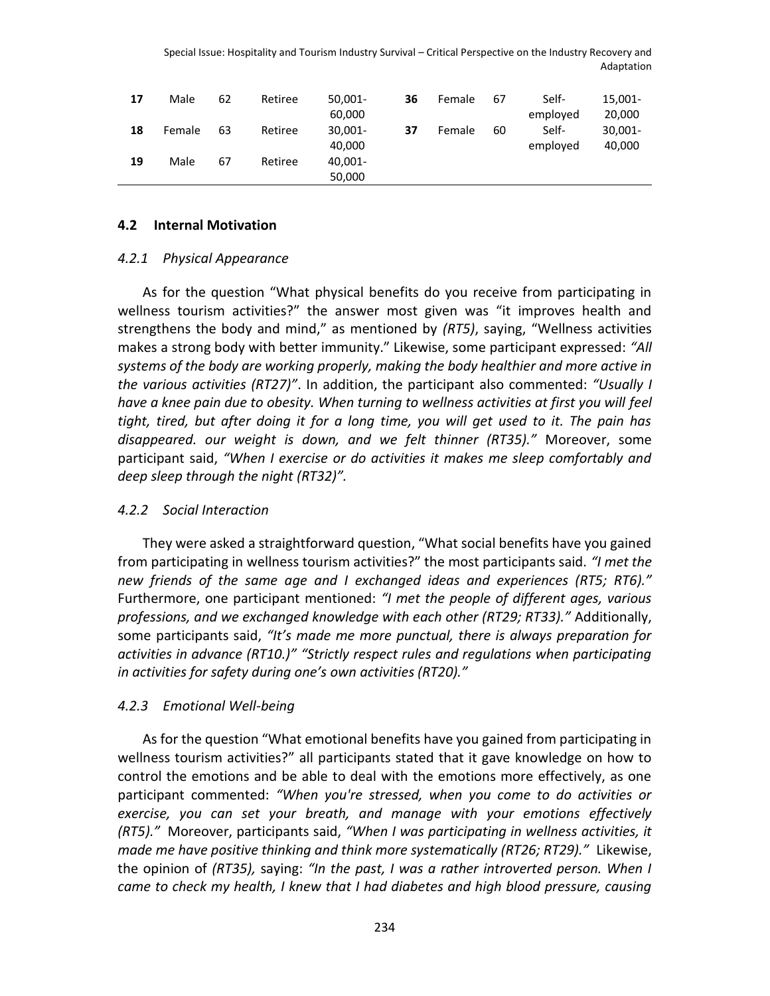| 17 | Male   | 62 | Retiree | $50,001 -$ | 36 | Female | 67 | Self-    | 15.001- |
|----|--------|----|---------|------------|----|--------|----|----------|---------|
|    |        |    |         | 60,000     |    |        |    | employed | 20,000  |
| 18 | Female | 63 | Retiree | $30,001 -$ | 37 | Female | 60 | Self-    | 30,001- |
|    |        |    |         | 40,000     |    |        |    | employed | 40,000  |
| 19 | Male   | 67 | Retiree | 40,001-    |    |        |    |          |         |
|    |        |    |         | 50,000     |    |        |    |          |         |

#### **4.2 Internal Motivation**

#### *4.2.1 Physical Appearance*

As for the question "What physical benefits do you receive from participating in wellness tourism activities?" the answer most given was "it improves health and strengthens the body and mind," as mentioned by *(RT5)*, saying, "Wellness activities makes a strong body with better immunity." Likewise, some participant expressed: *"All systems of the body are working properly, making the body healthier and more active in the various activities (RT27)"*. In addition, the participant also commented: *"Usually I have a knee pain due to obesity. When turning to wellness activities at first you will feel tight, tired, but after doing it for a long time, you will get used to it. The pain has disappeared. our weight is down, and we felt thinner (RT35)."* Moreover, some participant said, *"When I exercise or do activities it makes me sleep comfortably and deep sleep through the night (RT32)".*

#### *4.2.2 Social Interaction*

They were asked a straightforward question, "What social benefits have you gained from participating in wellness tourism activities?" the most participants said. *"I met the new friends of the same age and I exchanged ideas and experiences (RT5; RT6)."*  Furthermore, one participant mentioned: *"I met the people of different ages, various professions, and we exchanged knowledge with each other (RT29; RT33)."* Additionally, some participants said, *"It's made me more punctual, there is always preparation for activities in advance (RT10.)" "Strictly respect rules and regulations when participating in activities for safety during one's own activities (RT20)."*

#### *4.2.3 Emotional Well-being*

As for the question "What emotional benefits have you gained from participating in wellness tourism activities?" all participants stated that it gave knowledge on how to control the emotions and be able to deal with the emotions more effectively, as one participant commented: *"When you're stressed, when you come to do activities or exercise, you can set your breath, and manage with your emotions effectively (RT5)."* Moreover, participants said, *"When I was participating in wellness activities, it made me have positive thinking and think more systematically (RT26; RT29)."* Likewise, the opinion of *(RT35),* saying: *"In the past, I was a rather introverted person. When I came to check my health, I knew that I had diabetes and high blood pressure, causing*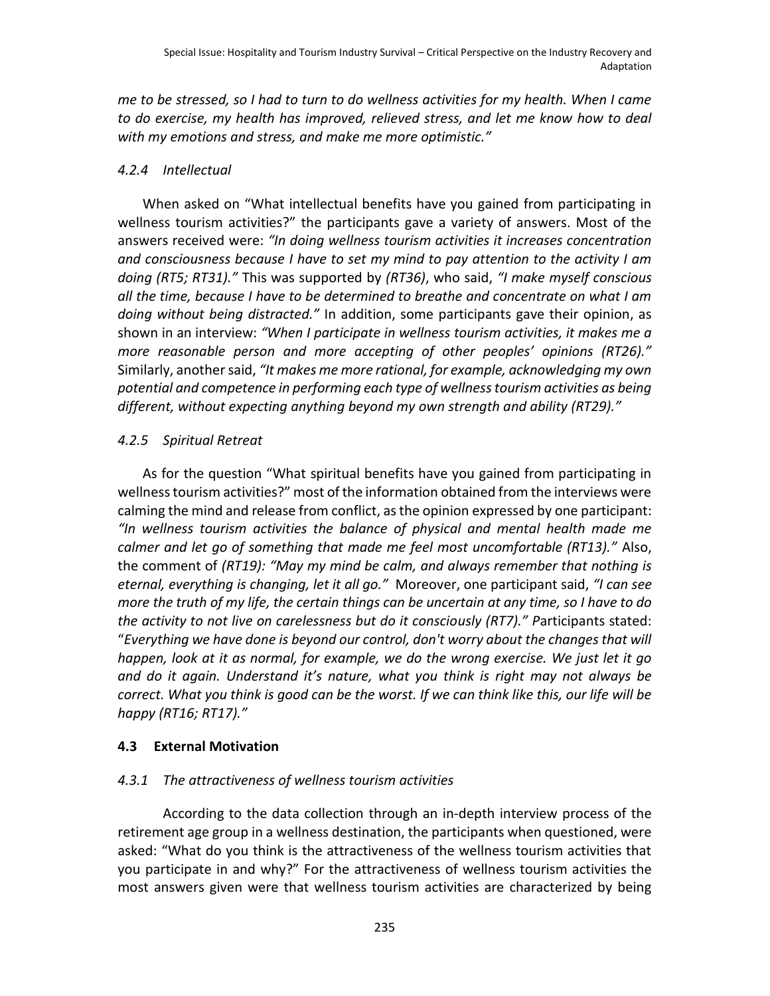*me to be stressed, so I had to turn to do wellness activities for my health. When I came to do exercise, my health has improved, relieved stress, and let me know how to deal with my emotions and stress, and make me more optimistic."*

### *4.2.4 Intellectual*

When asked on "What intellectual benefits have you gained from participating in wellness tourism activities?" the participants gave a variety of answers. Most of the answers received were: *"In doing wellness tourism activities it increases concentration and consciousness because I have to set my mind to pay attention to the activity I am doing (RT5; RT31)."* This was supported by *(RT36)*, who said, *"I make myself conscious all the time, because I have to be determined to breathe and concentrate on what I am doing without being distracted."* In addition, some participants gave their opinion, as shown in an interview: *"When I participate in wellness tourism activities, it makes me a more reasonable person and more accepting of other peoples' opinions (RT26)."*  Similarly, another said, *"It makes me more rational, for example, acknowledging my own potential and competence in performing each type of wellness tourism activities as being different, without expecting anything beyond my own strength and ability (RT29)."*

### *4.2.5 Spiritual Retreat*

As for the question "What spiritual benefits have you gained from participating in wellness tourism activities?" most of the information obtained from the interviews were calming the mind and release from conflict, as the opinion expressed by one participant: *"In wellness tourism activities the balance of physical and mental health made me calmer and let go of something that made me feel most uncomfortable (RT13)."* Also, the comment of *(RT19): "May my mind be calm, and always remember that nothing is eternal, everything is changing, let it all go."* Moreover, one participant said, *"I can see more the truth of my life, the certain things can be uncertain at any time, so I have to do the activity to not live on carelessness but do it consciously (RT7)." P*articipants stated: "*Everything we have done is beyond our control, don't worry about the changes that will happen, look at it as normal, for example, we do the wrong exercise. We just let it go and do it again. Understand it's nature, what you think is right may not always be correct. What you think is good can be the worst. If we can think like this, our life will be happy (RT16; RT17)."*

# **4.3 External Motivation**

# *4.3.1 The attractiveness of wellness tourism activities*

According to the data collection through an in-depth interview process of the retirement age group in a wellness destination, the participants when questioned, were asked: "What do you think is the attractiveness of the wellness tourism activities that you participate in and why?" For the attractiveness of wellness tourism activities the most answers given were that wellness tourism activities are characterized by being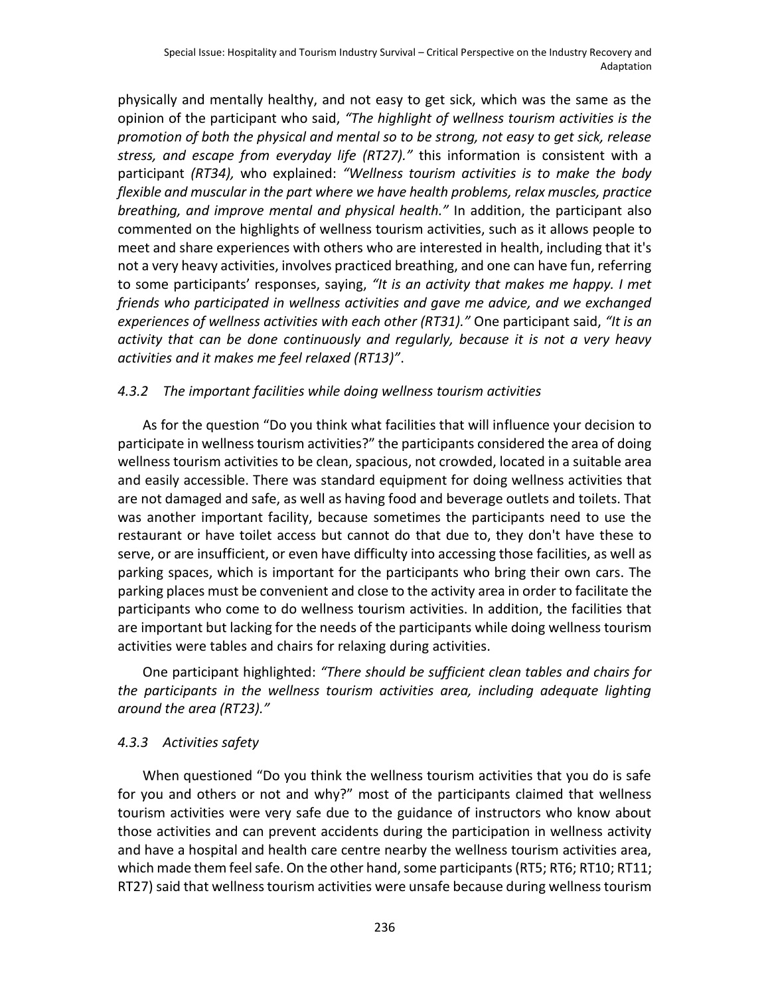physically and mentally healthy, and not easy to get sick, which was the same as the opinion of the participant who said, *"The highlight of wellness tourism activities is the promotion of both the physical and mental so to be strong, not easy to get sick, release stress, and escape from everyday life (RT27)."* this information is consistent with a participant *(RT34),* who explained: *"Wellness tourism activities is to make the body flexible and muscular in the part where we have health problems, relax muscles, practice breathing, and improve mental and physical health."* In addition, the participant also commented on the highlights of wellness tourism activities, such as it allows people to meet and share experiences with others who are interested in health, including that it's not a very heavy activities, involves practiced breathing, and one can have fun, referring to some participants' responses, saying, *"It is an activity that makes me happy. I met friends who participated in wellness activities and gave me advice, and we exchanged experiences of wellness activities with each other (RT31)."* One participant said, *"It is an activity that can be done continuously and regularly, because it is not a very heavy activities and it makes me feel relaxed (RT13)"*.

# *4.3.2 The important facilities while doing wellness tourism activities*

As for the question "Do you think what facilities that will influence your decision to participate in wellness tourism activities?" the participants considered the area of doing wellness tourism activities to be clean, spacious, not crowded, located in a suitable area and easily accessible. There was standard equipment for doing wellness activities that are not damaged and safe, as well as having food and beverage outlets and toilets. That was another important facility, because sometimes the participants need to use the restaurant or have toilet access but cannot do that due to, they don't have these to serve, or are insufficient, or even have difficulty into accessing those facilities, as well as parking spaces, which is important for the participants who bring their own cars. The parking places must be convenient and close to the activity area in order to facilitate the participants who come to do wellness tourism activities. In addition, the facilities that are important but lacking for the needs of the participants while doing wellness tourism activities were tables and chairs for relaxing during activities.

One participant highlighted: *"There should be sufficient clean tables and chairs for the participants in the wellness tourism activities area, including adequate lighting around the area (RT23)."*

### *4.3.3 Activities safety*

When questioned "Do you think the wellness tourism activities that you do is safe for you and others or not and why?" most of the participants claimed that wellness tourism activities were very safe due to the guidance of instructors who know about those activities and can prevent accidents during the participation in wellness activity and have a hospital and health care centre nearby the wellness tourism activities area, which made them feel safe. On the other hand, some participants (RT5; RT6; RT10; RT11; RT27) said that wellness tourism activities were unsafe because during wellness tourism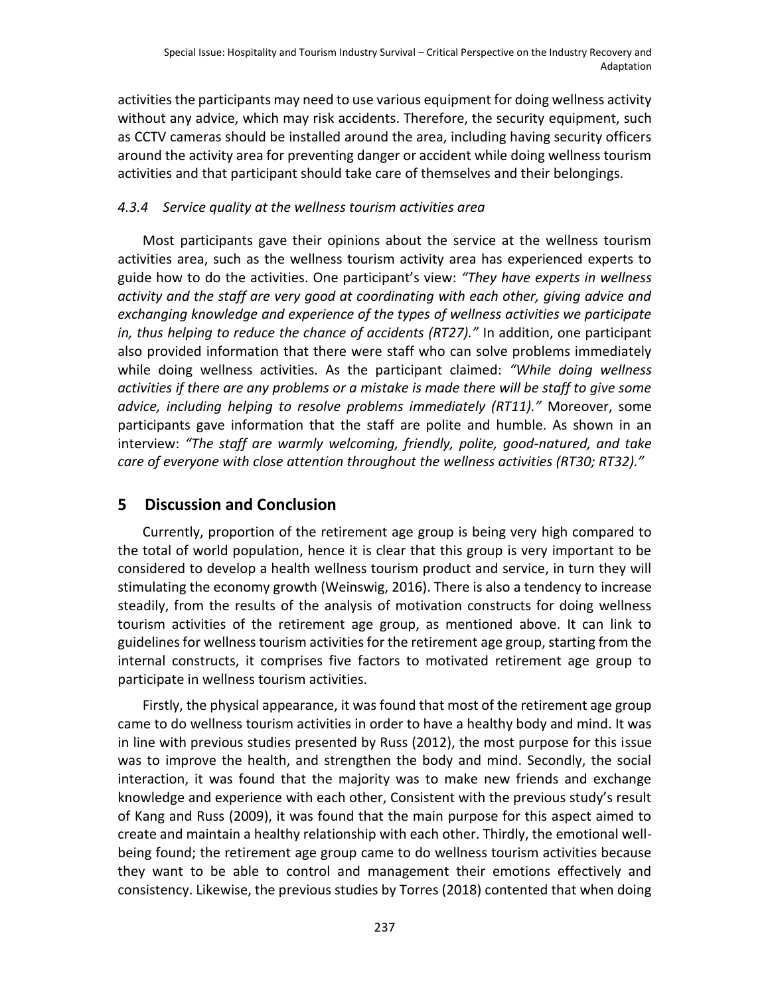activities the participants may need to use various equipment for doing wellness activity without any advice, which may risk accidents. Therefore, the security equipment, such as CCTV cameras should be installed around the area, including having security officers around the activity area for preventing danger or accident while doing wellness tourism activities and that participant should take care of themselves and their belongings.

# *4.3.4 Service quality at the wellness tourism activities area*

Most participants gave their opinions about the service at the wellness tourism activities area, such as the wellness tourism activity area has experienced experts to guide how to do the activities. One participant's view: *"They have experts in wellness activity and the staff are very good at coordinating with each other, giving advice and exchanging knowledge and experience of the types of wellness activities we participate in, thus helping to reduce the chance of accidents (RT27)."* In addition, one participant also provided information that there were staff who can solve problems immediately while doing wellness activities. As the participant claimed: *"While doing wellness activities if there are any problems or a mistake is made there will be staff to give some advice, including helping to resolve problems immediately (RT11)."* Moreover, some participants gave information that the staff are polite and humble. As shown in an interview: *"The staff are warmly welcoming, friendly, polite, good-natured, and take care of everyone with close attention throughout the wellness activities (RT30; RT32)."*

# **5 Discussion and Conclusion**

Currently, proportion of the retirement age group is being very high compared to the total of world population, hence it is clear that this group is very important to be considered to develop a health wellness tourism product and service, in turn they will stimulating the economy growth (Weinswig, 2016). There is also a tendency to increase steadily, from the results of the analysis of motivation constructs for doing wellness tourism activities of the retirement age group, as mentioned above. It can link to guidelines for wellness tourism activities for the retirement age group, starting from the internal constructs, it comprises five factors to motivated retirement age group to participate in wellness tourism activities.

Firstly, the physical appearance, it was found that most of the retirement age group came to do wellness tourism activities in order to have a healthy body and mind. It was in line with previous studies presented by Russ (2012), the most purpose for this issue was to improve the health, and strengthen the body and mind. Secondly, the social interaction, it was found that the majority was to make new friends and exchange knowledge and experience with each other, Consistent with the previous study's result of Kang and Russ (2009), it was found that the main purpose for this aspect aimed to create and maintain a healthy relationship with each other. Thirdly, the emotional wellbeing found; the retirement age group came to do wellness tourism activities because they want to be able to control and management their emotions effectively and consistency. Likewise, the previous studies by Torres (2018) contented that when doing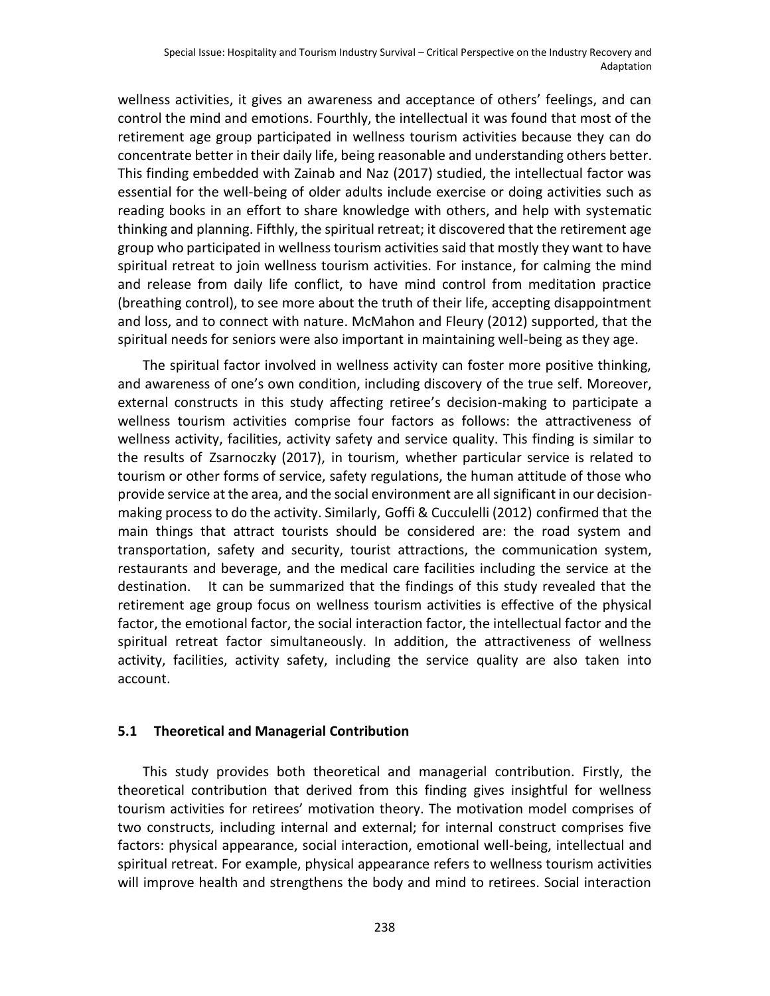wellness activities, it gives an awareness and acceptance of others' feelings, and can control the mind and emotions. Fourthly, the intellectual it was found that most of the retirement age group participated in wellness tourism activities because they can do concentrate better in their daily life, being reasonable and understanding others better. This finding embedded with Zainab and Naz (2017) studied, the intellectual factor was essential for the well-being of older adults include exercise or doing activities such as reading books in an effort to share knowledge with others, and help with systematic thinking and planning. Fifthly, the spiritual retreat; it discovered that the retirement age group who participated in wellness tourism activities said that mostly they want to have spiritual retreat to join wellness tourism activities. For instance, for calming the mind and release from daily life conflict, to have mind control from meditation practice (breathing control), to see more about the truth of their life, accepting disappointment and loss, and to connect with nature. McMahon and Fleury (2012) supported, that the spiritual needs for seniors were also important in maintaining well-being as they age.

The spiritual factor involved in wellness activity can foster more positive thinking, and awareness of one's own condition, including discovery of the true self. Moreover, external constructs in this study affecting retiree's decision-making to participate a wellness tourism activities comprise four factors as follows: the attractiveness of wellness activity, facilities, activity safety and service quality. This finding is similar to the results of Zsarnoczky (2017), in tourism, whether particular service is related to tourism or other forms of service, safety regulations, the human attitude of those who provide service at the area, and the social environment are all significant in our decisionmaking process to do the activity. Similarly, Goffi & Cucculelli (2012) confirmed that the main things that attract tourists should be considered are: the road system and transportation, safety and security, tourist attractions, the communication system, restaurants and beverage, and the medical care facilities including the service at the destination. It can be summarized that the findings of this study revealed that the retirement age group focus on wellness tourism activities is effective of the physical factor, the emotional factor, the social interaction factor, the intellectual factor and the spiritual retreat factor simultaneously. In addition, the attractiveness of wellness activity, facilities, activity safety, including the service quality are also taken into account.

### **5.1 Theoretical and Managerial Contribution**

This study provides both theoretical and managerial contribution. Firstly, the theoretical contribution that derived from this finding gives insightful for wellness tourism activities for retirees' motivation theory. The motivation model comprises of two constructs, including internal and external; for internal construct comprises five factors: physical appearance, social interaction, emotional well-being, intellectual and spiritual retreat. For example, physical appearance refers to wellness tourism activities will improve health and strengthens the body and mind to retirees. Social interaction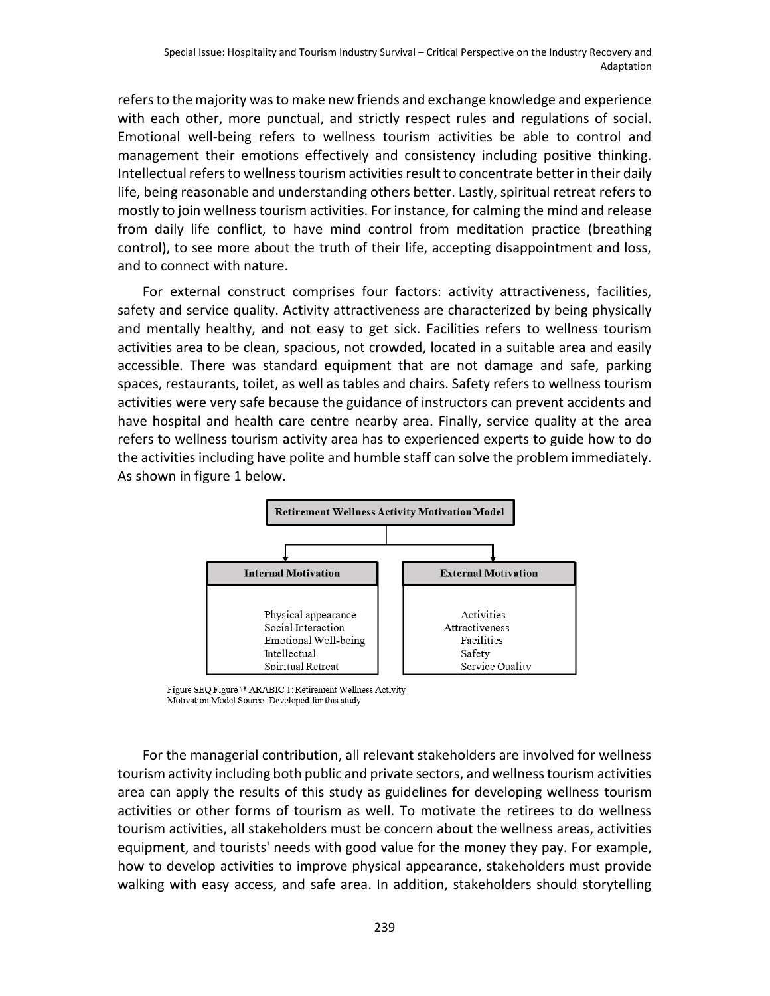refers to the majority was to make new friends and exchange knowledge and experience with each other, more punctual, and strictly respect rules and regulations of social. Emotional well-being refers to wellness tourism activities be able to control and management their emotions effectively and consistency including positive thinking. Intellectual refers to wellness tourism activities result to concentrate better in their daily life, being reasonable and understanding others better. Lastly, spiritual retreat refers to mostly to join wellness tourism activities. For instance, for calming the mind and release from daily life conflict, to have mind control from meditation practice (breathing control), to see more about the truth of their life, accepting disappointment and loss, and to connect with nature.

For external construct comprises four factors: activity attractiveness, facilities, safety and service quality. Activity attractiveness are characterized by being physically and mentally healthy, and not easy to get sick. Facilities refers to wellness tourism activities area to be clean, spacious, not crowded, located in a suitable area and easily accessible. There was standard equipment that are not damage and safe, parking spaces, restaurants, toilet, as well as tables and chairs. Safety refers to wellness tourism activities were very safe because the guidance of instructors can prevent accidents and have hospital and health care centre nearby area. Finally, service quality at the area refers to wellness tourism activity area has to experienced experts to guide how to do the activities including have polite and humble staff can solve the problem immediately. As shown in figure 1 below.



Figure SEQ Figure \\* ARABIC 1: Retirement Wellness Activity Motivation Model Source: Developed for this study

For the managerial contribution, all relevant stakeholders are involved for wellness tourism activity including both public and private sectors, and wellness tourism activities area can apply the results of this study as guidelines for developing wellness tourism activities or other forms of tourism as well. To motivate the retirees to do wellness tourism activities, all stakeholders must be concern about the wellness areas, activities equipment, and tourists' needs with good value for the money they pay. For example, how to develop activities to improve physical appearance, stakeholders must provide walking with easy access, and safe area. In addition, stakeholders should storytelling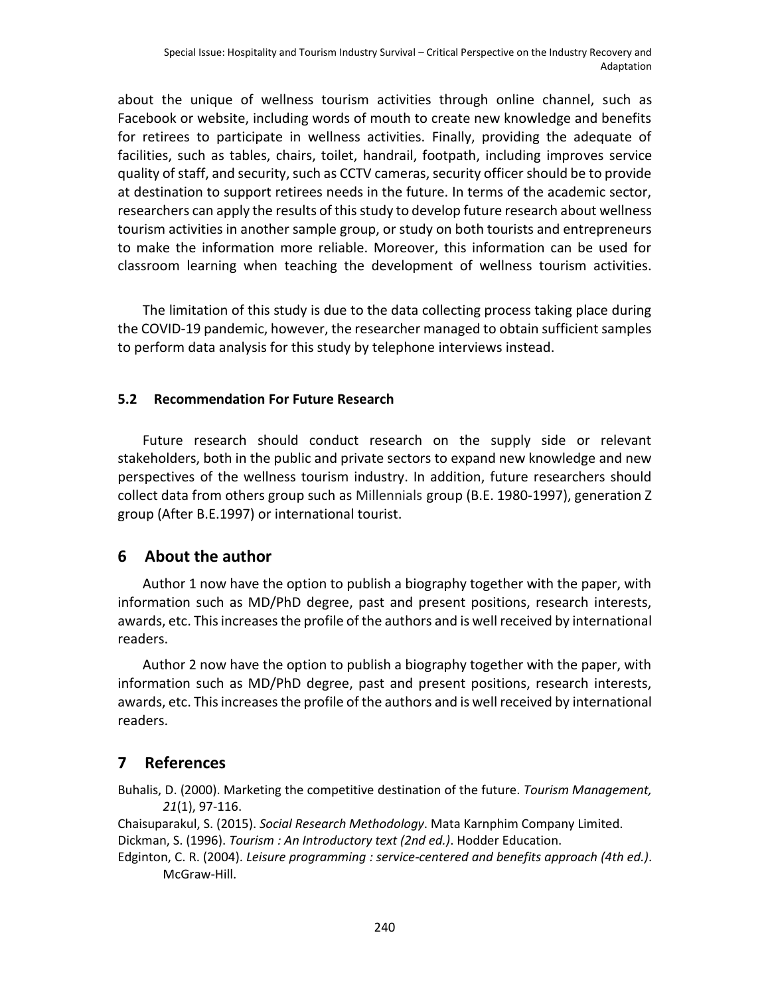about the unique of wellness tourism activities through online channel, such as Facebook or website, including words of mouth to create new knowledge and benefits for retirees to participate in wellness activities. Finally, providing the adequate of facilities, such as tables, chairs, toilet, handrail, footpath, including improves service quality of staff, and security, such as CCTV cameras, security officer should be to provide at destination to support retirees needs in the future. In terms of the academic sector, researchers can apply the results of this study to develop future research about wellness tourism activities in another sample group, or study on both tourists and entrepreneurs to make the information more reliable. Moreover, this information can be used for classroom learning when teaching the development of wellness tourism activities.

The limitation of this study is due to the data collecting process taking place during the COVID-19 pandemic, however, the researcher managed to obtain sufficient samples to perform data analysis for this study by telephone interviews instead.

### **5.2 Recommendation For Future Research**

Future research should conduct research on the supply side or relevant stakeholders, both in the public and private sectors to expand new knowledge and new perspectives of the wellness tourism industry. In addition, future researchers should collect data from others group such as Millennials group (B.E. 1980-1997), generation Z group (After B.E.1997) or international tourist.

# **6 About the author**

Author 1 now have the option to publish a biography together with the paper, with information such as MD/PhD degree, past and present positions, research interests, awards, etc. This increases the profile of the authors and is well received by international readers.

Author 2 now have the option to publish a biography together with the paper, with information such as MD/PhD degree, past and present positions, research interests, awards, etc. This increases the profile of the authors and is well received by international readers.

# **7 References**

Buhalis, D. (2000). Marketing the competitive destination of the future. *Tourism Management, 21*(1), 97-116.

Chaisuparakul, S. (2015). *Social Research Methodology*. Mata Karnphim Company Limited. Dickman, S. (1996). *Tourism : An Introductory text (2nd ed.)*. Hodder Education.

Edginton, C. R. (2004). *Leisure programming : service-centered and benefits approach (4th ed.)*. McGraw-Hill.